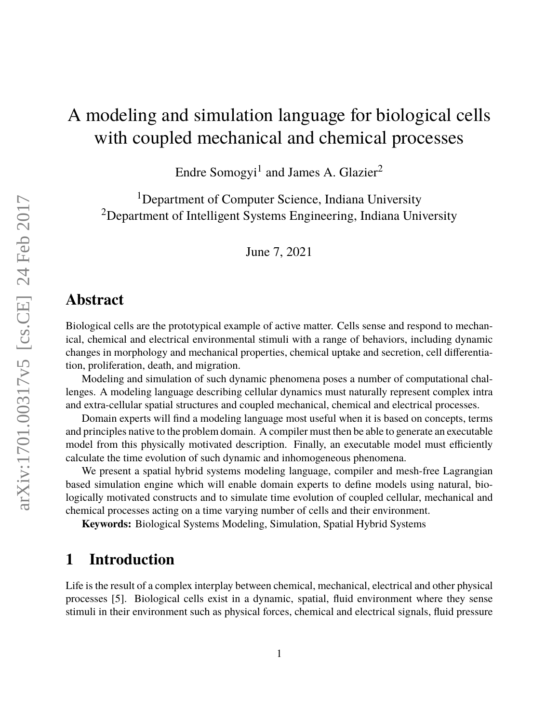# A modeling and simulation language for biological cells with coupled mechanical and chemical processes

Endre Somogyi $^1$  and James A. Glazier $^2$ 

<sup>1</sup>Department of Computer Science, Indiana University <sup>2</sup>Department of Intelligent Systems Engineering, Indiana University

June 7, 2021

# **Abstract**

Biological cells are the prototypical example of active matter. Cells sense and respond to mechanical, chemical and electrical environmental stimuli with a range of behaviors, including dynamic changes in morphology and mechanical properties, chemical uptake and secretion, cell differentiation, proliferation, death, and migration.

Modeling and simulation of such dynamic phenomena poses a number of computational challenges. A modeling language describing cellular dynamics must naturally represent complex intra and extra-cellular spatial structures and coupled mechanical, chemical and electrical processes.

Domain experts will find a modeling language most useful when it is based on concepts, terms and principles native to the problem domain. A compiler must then be able to generate an executable model from this physically motivated description. Finally, an executable model must efficiently calculate the time evolution of such dynamic and inhomogeneous phenomena.

We present a spatial hybrid systems modeling language, compiler and mesh-free Lagrangian based simulation engine which will enable domain experts to define models using natural, biologically motivated constructs and to simulate time evolution of coupled cellular, mechanical and chemical processes acting on a time varying number of cells and their environment.

**Keywords:** Biological Systems Modeling, Simulation, Spatial Hybrid Systems

# **1 Introduction**

Life is the result of a complex interplay between chemical, mechanical, electrical and other physical processes [\[5\]](#page-13-0). Biological cells exist in a dynamic, spatial, fluid environment where they sense stimuli in their environment such as physical forces, chemical and electrical signals, fluid pressure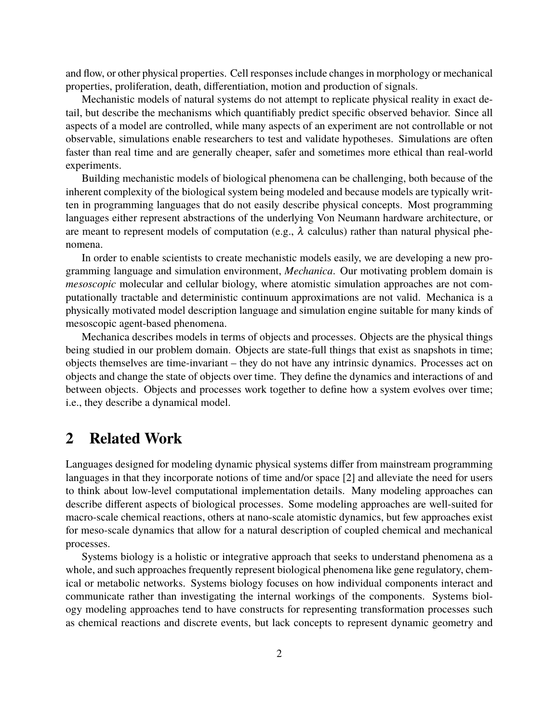and flow, or other physical properties. Cell responses include changes in morphology or mechanical properties, proliferation, death, differentiation, motion and production of signals.

Mechanistic models of natural systems do not attempt to replicate physical reality in exact detail, but describe the mechanisms which quantifiably predict specific observed behavior. Since all aspects of a model are controlled, while many aspects of an experiment are not controllable or not observable, simulations enable researchers to test and validate hypotheses. Simulations are often faster than real time and are generally cheaper, safer and sometimes more ethical than real-world experiments.

Building mechanistic models of biological phenomena can be challenging, both because of the inherent complexity of the biological system being modeled and because models are typically written in programming languages that do not easily describe physical concepts. Most programming languages either represent abstractions of the underlying Von Neumann hardware architecture, or are meant to represent models of computation (e.g.,  $\lambda$  calculus) rather than natural physical phenomena.

In order to enable scientists to create mechanistic models easily, we are developing a new programming language and simulation environment, *Mechanica*. Our motivating problem domain is *mesoscopic* molecular and cellular biology, where atomistic simulation approaches are not computationally tractable and deterministic continuum approximations are not valid. Mechanica is a physically motivated model description language and simulation engine suitable for many kinds of mesoscopic agent-based phenomena.

Mechanica describes models in terms of objects and processes. Objects are the physical things being studied in our problem domain. Objects are state-full things that exist as snapshots in time; objects themselves are time-invariant – they do not have any intrinsic dynamics. Processes act on objects and change the state of objects over time. They define the dynamics and interactions of and between objects. Objects and processes work together to define how a system evolves over time; i.e., they describe a dynamical model.

### **2 Related Work**

Languages designed for modeling dynamic physical systems differ from mainstream programming languages in that they incorporate notions of time and/or space [\[2\]](#page-13-1) and alleviate the need for users to think about low-level computational implementation details. Many modeling approaches can describe different aspects of biological processes. Some modeling approaches are well-suited for macro-scale chemical reactions, others at nano-scale atomistic dynamics, but few approaches exist for meso-scale dynamics that allow for a natural description of coupled chemical and mechanical processes.

Systems biology is a holistic or integrative approach that seeks to understand phenomena as a whole, and such approaches frequently represent biological phenomena like gene regulatory, chemical or metabolic networks. Systems biology focuses on how individual components interact and communicate rather than investigating the internal workings of the components. Systems biology modeling approaches tend to have constructs for representing transformation processes such as chemical reactions and discrete events, but lack concepts to represent dynamic geometry and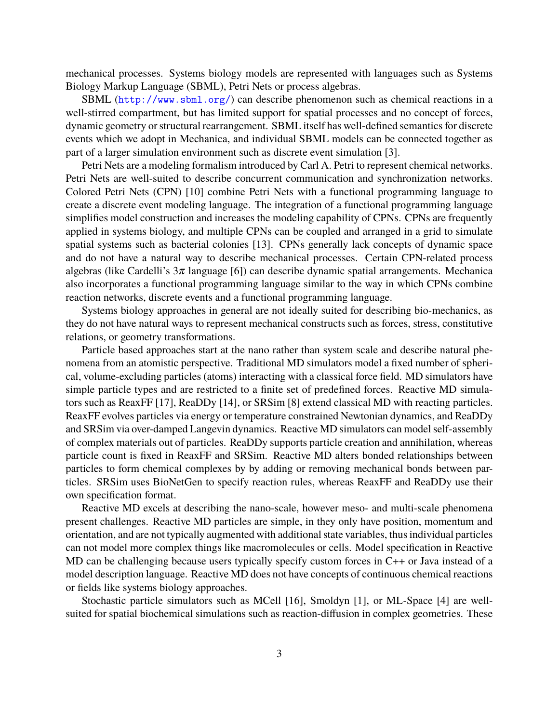mechanical processes. Systems biology models are represented with languages such as Systems Biology Markup Language (SBML), Petri Nets or process algebras.

SBML (<http://www.sbml.org/>) can describe phenomenon such as chemical reactions in a well-stirred compartment, but has limited support for spatial processes and no concept of forces, dynamic geometry or structural rearrangement. SBML itself has well-defined semantics for discrete events which we adopt in Mechanica, and individual SBML models can be connected together as part of a larger simulation environment such as discrete event simulation [\[3\]](#page-13-2).

Petri Nets are a modeling formalism introduced by Carl A. Petri to represent chemical networks. Petri Nets are well-suited to describe concurrent communication and synchronization networks. Colored Petri Nets (CPN) [\[10\]](#page-13-3) combine Petri Nets with a functional programming language to create a discrete event modeling language. The integration of a functional programming language simplifies model construction and increases the modeling capability of CPNs. CPNs are frequently applied in systems biology, and multiple CPNs can be coupled and arranged in a grid to simulate spatial systems such as bacterial colonies [\[13\]](#page-13-4). CPNs generally lack concepts of dynamic space and do not have a natural way to describe mechanical processes. Certain CPN-related process algebras (like Cardelli's  $3\pi$  language [\[6\]](#page-13-5)) can describe dynamic spatial arrangements. Mechanica also incorporates a functional programming language similar to the way in which CPNs combine reaction networks, discrete events and a functional programming language.

Systems biology approaches in general are not ideally suited for describing bio-mechanics, as they do not have natural ways to represent mechanical constructs such as forces, stress, constitutive relations, or geometry transformations.

Particle based approaches start at the nano rather than system scale and describe natural phenomena from an atomistic perspective. Traditional MD simulators model a fixed number of spherical, volume-excluding particles (atoms) interacting with a classical force field. MD simulators have simple particle types and are restricted to a finite set of predefined forces. Reactive MD simulators such as ReaxFF [\[17\]](#page-14-0), ReaDDy [\[14\]](#page-14-1), or SRSim [\[8\]](#page-13-6) extend classical MD with reacting particles. ReaxFF evolves particles via energy or temperature constrained Newtonian dynamics, and ReaDDy and SRSim via over-damped Langevin dynamics. Reactive MD simulators can model self-assembly of complex materials out of particles. ReaDDy supports particle creation and annihilation, whereas particle count is fixed in ReaxFF and SRSim. Reactive MD alters bonded relationships between particles to form chemical complexes by by adding or removing mechanical bonds between particles. SRSim uses BioNetGen to specify reaction rules, whereas ReaxFF and ReaDDy use their own specification format.

Reactive MD excels at describing the nano-scale, however meso- and multi-scale phenomena present challenges. Reactive MD particles are simple, in they only have position, momentum and orientation, and are not typically augmented with additional state variables, thus individual particles can not model more complex things like macromolecules or cells. Model specification in Reactive MD can be challenging because users typically specify custom forces in C++ or Java instead of a model description language. Reactive MD does not have concepts of continuous chemical reactions or fields like systems biology approaches.

Stochastic particle simulators such as MCell [\[16\]](#page-14-2), Smoldyn [\[1\]](#page-12-0), or ML-Space [\[4\]](#page-13-7) are wellsuited for spatial biochemical simulations such as reaction-diffusion in complex geometries. These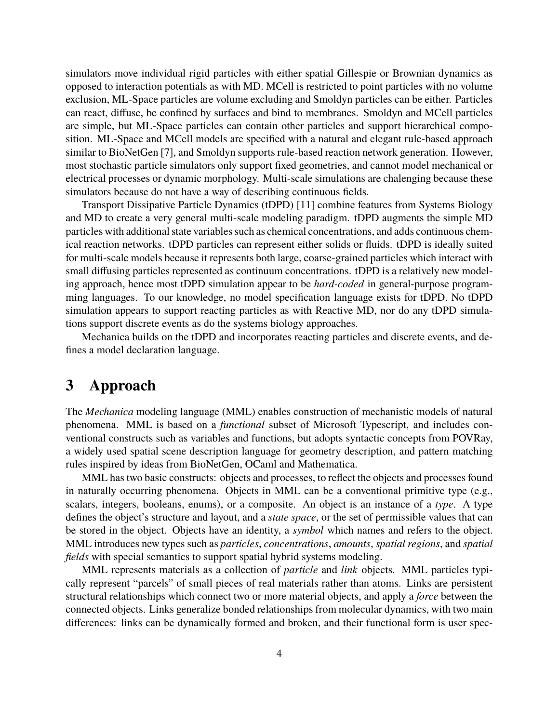simulators move individual rigid particles with either spatial Gillespie or Brownian dynamics as opposed to interaction potentials as with MD. MCell is restricted to point particles with no volume exclusion, ML-Space particles are volume excluding and Smoldyn particles can be either. Particles can react, diffuse, be confined by surfaces and bind to membranes. Smoldyn and MCell particles are simple, but ML-Space particles can contain other particles and support hierarchical composition. ML-Space and MCell models are specified with a natural and elegant rule-based approach similar to BioNetGen [\[7\]](#page-13-8), and Smoldyn supports rule-based reaction network generation. However, most stochastic particle simulators only support fixed geometries, and cannot model mechanical or electrical processes or dynamic morphology. Multi-scale simulations are chalenging because these simulators because do not have a way of describing continuous fields.

<span id="page-3-0"></span>Transport Dissipative Particle Dynamics (tDPD) [\[11\]](#page-13-9) combine features from Systems Biology and MD to create a very general multi-scale modeling paradigm. tDPD augments the simple MD particles with additional state variables such as chemical concentrations, and adds continuous chemical reaction networks. tDPD particles can represent either solids or fluids. tDPD is ideally suited for multi-scale models because it represents both large, coarse-grained particles which interact with small diffusing particles represented as continuum concentrations. tDPD is a relatively new modeling approach, hence most tDPD simulation appear to be *hard-coded* in general-purpose programming languages. To our knowledge, no model specification language exists for tDPD. No tDPD simulation appears to support reacting particles as with Reactive MD, nor do any tDPD simulations support discrete events as do the systems biology approaches.

Mechanica builds on the tDPD and incorporates reacting particles and discrete events, and defines a model declaration language.

## **3 Approach**

The *Mechanica* modeling language (MML) enables construction of mechanistic models of natural phenomena. MML is based on a *functional* subset of Microsoft Typescript, and includes conventional constructs such as variables and functions, but adopts syntactic concepts from POVRay, a widely used spatial scene description language for geometry description, and pattern matching rules inspired by ideas from BioNetGen, OCaml and Mathematica.

MML has two basic constructs: objects and processes, to reflect the objects and processes found in naturally occurring phenomena. Objects in MML can be a conventional primitive type (e.g., scalars, integers, booleans, enums), or a composite. An object is an instance of a *type*. A type defines the object's structure and layout, and a *state space*, or the set of permissible values that can be stored in the object. Objects have an identity, a *symbol* which names and refers to the object. MML introduces new types such as *particles*, *concentrations*, *amounts*, *spatial regions*, and *spatial fields* with special semantics to support spatial hybrid systems modeling.

MML represents materials as a collection of *particle* and *link* objects. MML particles typically represent "parcels" of small pieces of real materials rather than atoms. Links are persistent structural relationships which connect two or more material objects, and apply a *force* between the connected objects. Links generalize bonded relationships from molecular dynamics, with two main differences: links can be dynamically formed and broken, and their functional form is user spec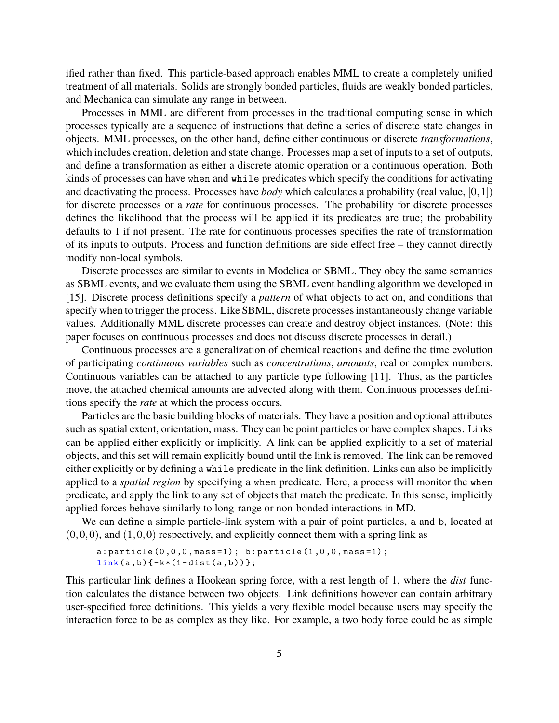ified rather than fixed. This particle-based approach enables MML to create a completely unified treatment of all materials. Solids are strongly bonded particles, fluids are weakly bonded particles, and Mechanica can simulate any range in between.

Processes in MML are different from processes in the traditional computing sense in which processes typically are a sequence of instructions that define a series of discrete state changes in objects. MML processes, on the other hand, define either continuous or discrete *transformations*, which includes creation, deletion and state change. Processes map a set of inputs to a set of outputs, and define a transformation as either a discrete atomic operation or a continuous operation. Both kinds of processes can have when and while predicates which specify the conditions for activating and deactivating the process. Processes have *body* which calculates a probability (real value, [0,1]) for discrete processes or a *rate* for continuous processes. The probability for discrete processes defines the likelihood that the process will be applied if its predicates are true; the probability defaults to 1 if not present. The rate for continuous processes specifies the rate of transformation of its inputs to outputs. Process and function definitions are side effect free – they cannot directly modify non-local symbols.

Discrete processes are similar to events in Modelica or SBML. They obey the same semantics as SBML events, and we evaluate them using the SBML event handling algorithm we developed in [\[15\]](#page-14-3). Discrete process definitions specify a *pattern* of what objects to act on, and conditions that specify when to trigger the process. Like SBML, discrete processes instantaneously change variable values. Additionally MML discrete processes can create and destroy object instances. (Note: this paper focuses on continuous processes and does not discuss discrete processes in detail.)

Continuous processes are a generalization of chemical reactions and define the time evolution of participating *continuous variables* such as *concentrations*, *amounts*, real or complex numbers. Continuous variables can be attached to any particle type following [\[11\]](#page-13-9). Thus, as the particles move, the attached chemical amounts are advected along with them. Continuous processes definitions specify the *rate* at which the process occurs.

Particles are the basic building blocks of materials. They have a position and optional attributes such as spatial extent, orientation, mass. They can be point particles or have complex shapes. Links can be applied either explicitly or implicitly. A link can be applied explicitly to a set of material objects, and this set will remain explicitly bound until the link is removed. The link can be removed either explicitly or by defining a while predicate in the link definition. Links can also be implicitly applied to a *spatial region* by specifying a when predicate. Here, a process will monitor the when predicate, and apply the link to any set of objects that match the predicate. In this sense, implicitly applied forces behave similarly to long-range or non-bonded interactions in MD.

We can define a simple particle-link system with a pair of point particles, a and b, located at  $(0,0,0)$ , and  $(1,0,0)$  respectively, and explicitly connect them with a spring link as

```
a: particle (0, 0, 0, mass=1); b: particle (1, 0, 0, mass=1);
link(a, b) { -k*(1 - dist(a, b)) };
```
This particular link defines a Hookean spring force, with a rest length of 1, where the *dist* function calculates the distance between two objects. Link definitions however can contain arbitrary user-specified force definitions. This yields a very flexible model because users may specify the interaction force to be as complex as they like. For example, a two body force could be as simple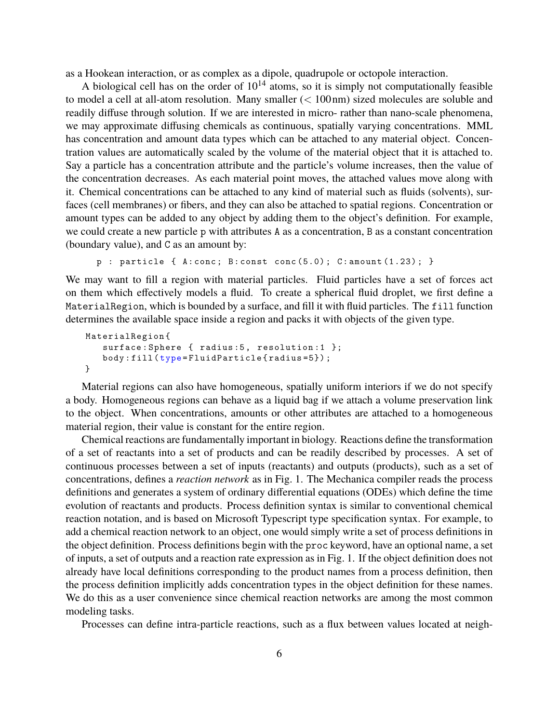as a Hookean interaction, or as complex as a dipole, quadrupole or octopole interaction.

A biological cell has on the order of  $10^{14}$  atoms, so it is simply not computationally feasible to model a cell at all-atom resolution. Many smaller  $(< 100 \text{ nm})$  sized molecules are soluble and readily diffuse through solution. If we are interested in micro- rather than nano-scale phenomena, we may approximate diffusing chemicals as continuous, spatially varying concentrations. MML has concentration and amount data types which can be attached to any material object. Concentration values are automatically scaled by the volume of the material object that it is attached to. Say a particle has a concentration attribute and the particle's volume increases, then the value of the concentration decreases. As each material point moves, the attached values move along with it. Chemical concentrations can be attached to any kind of material such as fluids (solvents), surfaces (cell membranes) or fibers, and they can also be attached to spatial regions. Concentration or amount types can be added to any object by adding them to the object's definition. For example, we could create a new particle p with attributes A as a concentration, B as a constant concentration (boundary value), and C as an amount by:

```
p : particle { A: conc; B: const conc (5.0); C: amount (1.23); }
```
We may want to fill a region with material particles. Fluid particles have a set of forces act on them which effectively models a fluid. To create a spherical fluid droplet, we first define a MaterialRegion, which is bounded by a surface, and fill it with fluid particles. The fill function determines the available space inside a region and packs it with objects of the given type.

```
MaterialRegion {
   surface: Sphere { radius: 5, resolution: 1 };
   body : fill ( type = FluidParticle { radius =5}) ;
}
```
Material regions can also have homogeneous, spatially uniform interiors if we do not specify a body. Homogeneous regions can behave as a liquid bag if we attach a volume preservation link to the object. When concentrations, amounts or other attributes are attached to a homogeneous material region, their value is constant for the entire region.

Chemical reactions are fundamentally important in biology. Reactions define the transformation of a set of reactants into a set of products and can be readily described by processes. A set of continuous processes between a set of inputs (reactants) and outputs (products), such as a set of concentrations, defines a *reaction network* as in Fig. [1.](#page-6-0) The Mechanica compiler reads the process definitions and generates a system of ordinary differential equations (ODEs) which define the time evolution of reactants and products. Process definition syntax is similar to conventional chemical reaction notation, and is based on Microsoft Typescript type specification syntax. For example, to add a chemical reaction network to an object, one would simply write a set of process definitions in the object definition. Process definitions begin with the proc keyword, have an optional name, a set of inputs, a set of outputs and a reaction rate expression as in Fig. [1.](#page-6-0) If the object definition does not already have local definitions corresponding to the product names from a process definition, then the process definition implicitly adds concentration types in the object definition for these names. We do this as a user convenience since chemical reaction networks are among the most common modeling tasks.

Processes can define intra-particle reactions, such as a flux between values located at neigh-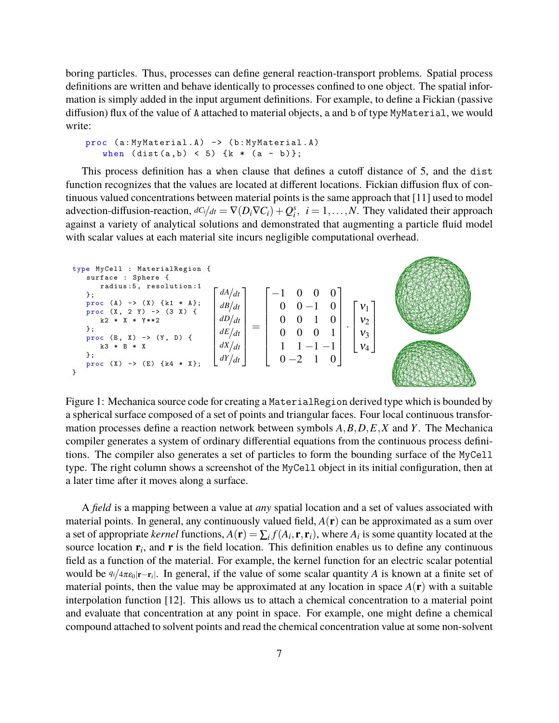boring particles. Thus, processes can define general reaction-transport problems. Spatial process definitions are written and behave identically to processes confined to one object. The spatial information is simply added in the input argument definitions. For example, to define a Fickian (passive diffusion) flux of the value of A attached to material objects, a and b of type MyMaterial, we would write:

```
proc (a: MyMaterial .A) -> (b: MyMaterial .A)
   when (dist(a, b) < 5) {k * (a - b)};
```
This process definition has a when clause that defines a cutoff distance of 5, and the dist function recognizes that the values are located at different locations. Fickian diffusion flux of continuous valued concentrations between material points is the same approach that [\[11\]](#page-13-9) used to model advection-diffusion-reaction,  $dC_i/dt = \nabla(D_i \nabla C_i) + Q_i^s$ ,  $i = 1, ..., N$ . They validated their approach against a variety of analytical solutions and demonstrated that augmenting a particle fluid model with scalar values at each material site incurs negligible computational overhead.

<span id="page-6-0"></span>

Figure 1: Mechanica source code for creating a MaterialRegion derived type which is bounded by a spherical surface composed of a set of points and triangular faces. Four local continuous transformation processes define a reaction network between symbols *A*,*B*,*D*,*E*,*X* and *Y*. The Mechanica compiler generates a system of ordinary differential equations from the continuous process definitions. The compiler also generates a set of particles to form the bounding surface of the MyCell type. The right column shows a screenshot of the MyCell object in its initial configuration, then at a later time after it moves along a surface.

A *field* is a mapping between a value at *any* spatial location and a set of values associated with material points. In general, any continuously valued field, *A*(r) can be approximated as a sum over a set of appropriate *kernel* functions,  $A(\mathbf{r}) = \sum_i f(A_i, \mathbf{r}, \mathbf{r}_i)$ , where  $A_i$  is some quantity located at the source location  $r_i$ , and  $r$  is the field location. This definition enables us to define any continuous field as a function of the material. For example, the kernel function for an electric scalar potential would be  $q_i/4\pi\epsilon_0|\mathbf{r}-\mathbf{r}_i|$ . In general, if the value of some scalar quantity *A* is known at a finite set of material points, then the value may be approximated at any location in space  $A(\mathbf{r})$  with a suitable interpolation function [\[12\]](#page-13-10). This allows us to attach a chemical concentration to a material point and evaluate that concentration at any point in space. For example, one might define a chemical compound attached to solvent points and read the chemical concentration value at some non-solvent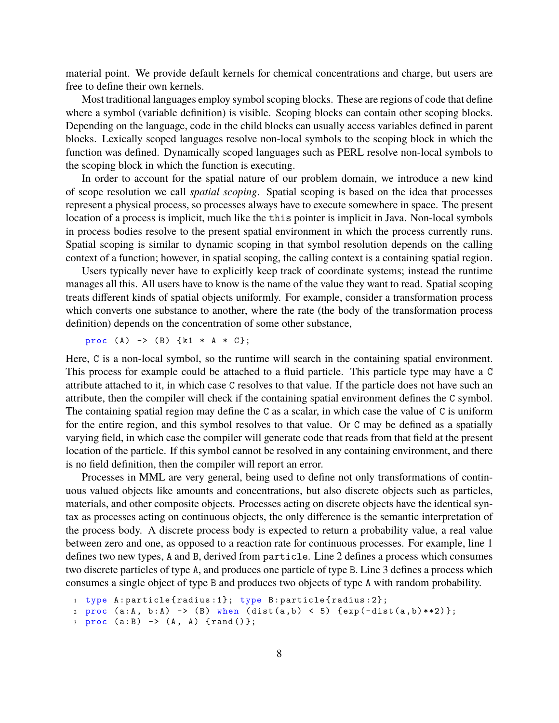material point. We provide default kernels for chemical concentrations and charge, but users are free to define their own kernels.

Most traditional languages employ symbol scoping blocks. These are regions of code that define where a symbol (variable definition) is visible. Scoping blocks can contain other scoping blocks. Depending on the language, code in the child blocks can usually access variables defined in parent blocks. Lexically scoped languages resolve non-local symbols to the scoping block in which the function was defined. Dynamically scoped languages such as PERL resolve non-local symbols to the scoping block in which the function is executing.

In order to account for the spatial nature of our problem domain, we introduce a new kind of scope resolution we call *spatial scoping*. Spatial scoping is based on the idea that processes represent a physical process, so processes always have to execute somewhere in space. The present location of a process is implicit, much like the this pointer is implicit in Java. Non-local symbols in process bodies resolve to the present spatial environment in which the process currently runs. Spatial scoping is similar to dynamic scoping in that symbol resolution depends on the calling context of a function; however, in spatial scoping, the calling context is a containing spatial region.

Users typically never have to explicitly keep track of coordinate systems; instead the runtime manages all this. All users have to know is the name of the value they want to read. Spatial scoping treats different kinds of spatial objects uniformly. For example, consider a transformation process which converts one substance to another, where the rate (the body of the transformation process definition) depends on the concentration of some other substance,

proc  $(A)$  ->  $(B)$  {k1 \* A \*  $C$ };

Here, C is a non-local symbol, so the runtime will search in the containing spatial environment. This process for example could be attached to a fluid particle. This particle type may have a C attribute attached to it, in which case C resolves to that value. If the particle does not have such an attribute, then the compiler will check if the containing spatial environment defines the C symbol. The containing spatial region may define the C as a scalar, in which case the value of C is uniform for the entire region, and this symbol resolves to that value. Or C may be defined as a spatially varying field, in which case the compiler will generate code that reads from that field at the present location of the particle. If this symbol cannot be resolved in any containing environment, and there is no field definition, then the compiler will report an error.

Processes in MML are very general, being used to define not only transformations of continuous valued objects like amounts and concentrations, but also discrete objects such as particles, materials, and other composite objects. Processes acting on discrete objects have the identical syntax as processes acting on continuous objects, the only difference is the semantic interpretation of the process body. A discrete process body is expected to return a probability value, a real value between zero and one, as opposed to a reaction rate for continuous processes. For example, line 1 defines two new types, A and B, derived from particle. Line 2 defines a process which consumes two discrete particles of type A, and produces one particle of type B. Line 3 defines a process which consumes a single object of type B and produces two objects of type A with random probability.

```
1 type A: particle { radius : 1}; type B: particle { radius : 2};
2 proc (a:A, b:A) -> (B) when (dist(a,b) < 5) \{exp(-dist(a,b) * * 2)\}\;;
```

```
3 \text{ proc} (a:B) \rightarrow (A, A) \text{ } \{rand()\};
```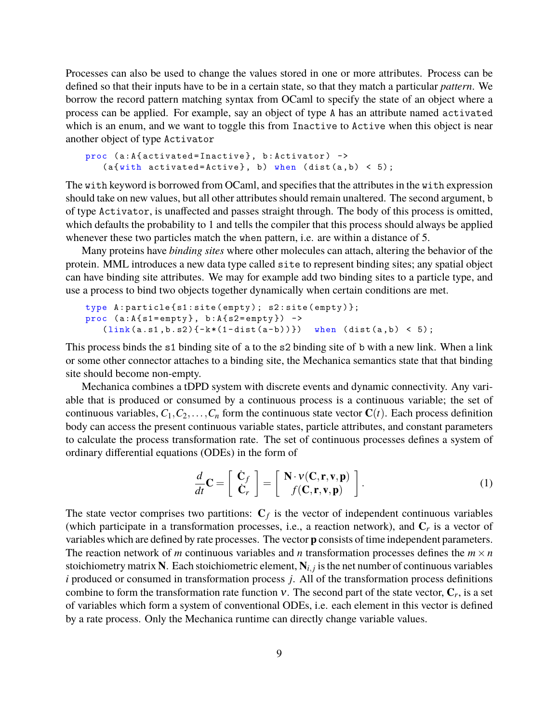Processes can also be used to change the values stored in one or more attributes. Process can be defined so that their inputs have to be in a certain state, so that they match a particular *pattern*. We borrow the record pattern matching syntax from OCaml to specify the state of an object where a process can be applied. For example, say an object of type A has an attribute named activated which is an enum, and we want to toggle this from Inactive to Active when this object is near another object of type Activator

```
proc (a:A{activated=Inactive}, b:Activator) ->
   (a{ with \ activated = Active}, b) when (dist(a, b) < 5);
```
The with keyword is borrowed from OCaml, and specifies that the attributes in the with expression should take on new values, but all other attributes should remain unaltered. The second argument, b of type Activator, is unaffected and passes straight through. The body of this process is omitted, which defaults the probability to 1 and tells the compiler that this process should always be applied whenever these two particles match the when pattern, i.e. are within a distance of 5.

Many proteins have *binding sites* where other molecules can attach, altering the behavior of the protein. MML introduces a new data type called site to represent binding sites; any spatial object can have binding site attributes. We may for example add two binding sites to a particle type, and use a process to bind two objects together dynamically when certain conditions are met.

```
type A: particle {s1: site (empty); s2: site (empty)}.proc (a:A{s1=empty}, b:A{s2=empty}) ->
   (link(a.s1,b.s2){ -k*(1-dist(a-b))}) when (dist(a,b) < 5);
```
This process binds the s1 binding site of a to the s2 binding site of b with a new link. When a link or some other connector attaches to a binding site, the Mechanica semantics state that that binding site should become non-empty.

Mechanica combines a [tDPD](#page-3-0) system with discrete events and dynamic connectivity. Any variable that is produced or consumed by a continuous process is a continuous variable; the set of continuous variables,  $C_1, C_2, \ldots, C_n$  form the continuous state vector  $C(t)$ . Each process definition body can access the present continuous variable states, particle attributes, and constant parameters to calculate the process transformation rate. The set of continuous processes defines a system of ordinary differential equations (ODEs) in the form of

<span id="page-8-0"></span>
$$
\frac{d}{dt}\mathbf{C} = \left[\begin{array}{c}\mathbf{C}_f\\\mathbf{C}_r\end{array}\right] = \left[\begin{array}{c}\mathbf{N} \cdot \mathbf{v}(\mathbf{C}, \mathbf{r}, \mathbf{v}, \mathbf{p})\\f(\mathbf{C}, \mathbf{r}, \mathbf{v}, \mathbf{p})\end{array}\right].
$$
\n(1)

The state vector comprises two partitions:  $C_f$  is the vector of independent continuous variables (which participate in a transformation processes, i.e., a reaction network), and  $C_r$  is a vector of variables which are defined by rate processes. The vector p consists of time independent parameters. The reaction network of *m* continuous variables and *n* transformation processes defines the  $m \times n$ stoichiometry matrix N. Each stoichiometric element,  $N_{i,j}$  is the net number of continuous variables *i* produced or consumed in transformation process *j*. All of the transformation process definitions combine to form the transformation rate function  $v$ . The second part of the state vector,  $C_r$ , is a set of variables which form a system of conventional ODEs, i.e. each element in this vector is defined by a rate process. Only the Mechanica runtime can directly change variable values.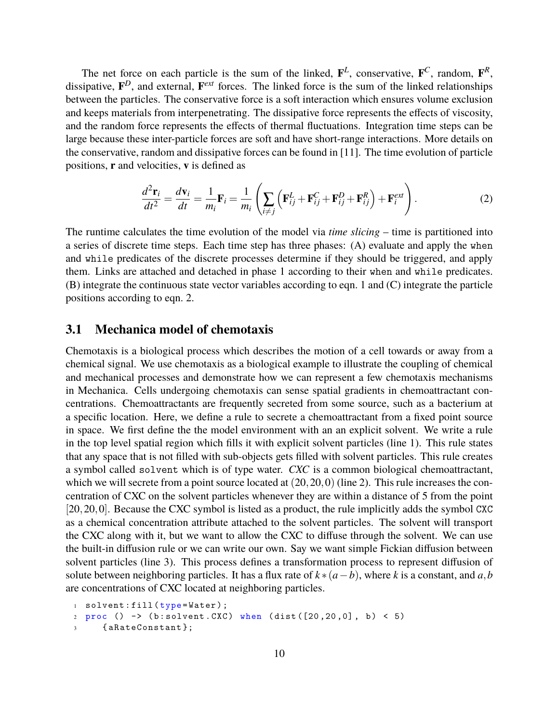The net force on each particle is the sum of the linked,  $\mathbf{F}^{L}$ , conservative,  $\mathbf{F}^{C}$ , random,  $\mathbf{F}^{R}$ , dissipative, F *<sup>D</sup>*, and external, F *ext* forces. The linked force is the sum of the linked relationships between the particles. The conservative force is a soft interaction which ensures volume exclusion and keeps materials from interpenetrating. The dissipative force represents the effects of viscosity, and the random force represents the effects of thermal fluctuations. Integration time steps can be large because these inter-particle forces are soft and have short-range interactions. More details on the conservative, random and dissipative forces can be found in [\[11\]](#page-13-9). The time evolution of particle positions, r and velocities, v is defined as

<span id="page-9-0"></span>
$$
\frac{d^2 \mathbf{r}_i}{dt^2} = \frac{d \mathbf{v}_i}{dt} = \frac{1}{m_i} \mathbf{F}_i = \frac{1}{m_i} \left( \sum_{i \neq j} \left( \mathbf{F}_{ij}^L + \mathbf{F}_{ij}^C + \mathbf{F}_{ij}^D + \mathbf{F}_{ij}^R \right) + \mathbf{F}_i^{ext} \right). \tag{2}
$$

The runtime calculates the time evolution of the model via *time slicing* – time is partitioned into a series of discrete time steps. Each time step has three phases: (A) evaluate and apply the when and while predicates of the discrete processes determine if they should be triggered, and apply them. Links are attached and detached in phase 1 according to their when and while predicates. (B) integrate the continuous state vector variables according to eqn. [1](#page-8-0) and (C) integrate the particle positions according to eqn. [2.](#page-9-0)

#### **3.1 Mechanica model of chemotaxis**

Chemotaxis is a biological process which describes the motion of a cell towards or away from a chemical signal. We use chemotaxis as a biological example to illustrate the coupling of chemical and mechanical processes and demonstrate how we can represent a few chemotaxis mechanisms in Mechanica. Cells undergoing chemotaxis can sense spatial gradients in chemoattractant concentrations. Chemoattractants are frequently secreted from some source, such as a bacterium at a specific location. Here, we define a rule to secrete a chemoattractant from a fixed point source in space. We first define the the model environment with an an explicit solvent. We write a rule in the top level spatial region which fills it with explicit solvent particles (line 1). This rule states that any space that is not filled with sub-objects gets filled with solvent particles. This rule creates a symbol called solvent which is of type water. *CXC* is a common biological chemoattractant, which we will secrete from a point source located at  $(20, 20, 0)$  (line 2). This rule increases the concentration of CXC on the solvent particles whenever they are within a distance of 5 from the point [20,20,0]. Because the CXC symbol is listed as a product, the rule implicitly adds the symbol CXC as a chemical concentration attribute attached to the solvent particles. The solvent will transport the CXC along with it, but we want to allow the CXC to diffuse through the solvent. We can use the built-in diffusion rule or we can write our own. Say we want simple Fickian diffusion between solvent particles (line 3). This process defines a transformation process to represent diffusion of solute between neighboring particles. It has a flux rate of  $k*(a-b)$ , where *k* is a constant, and  $a,b$ are concentrations of CXC located at neighboring particles.

```
1 solvent: fill (type=Water);
2 \text{ proc} () -> (b: solvent. CXC) when (dist ([20, 20, 0], b) < 5)
     {aRateConstant};
```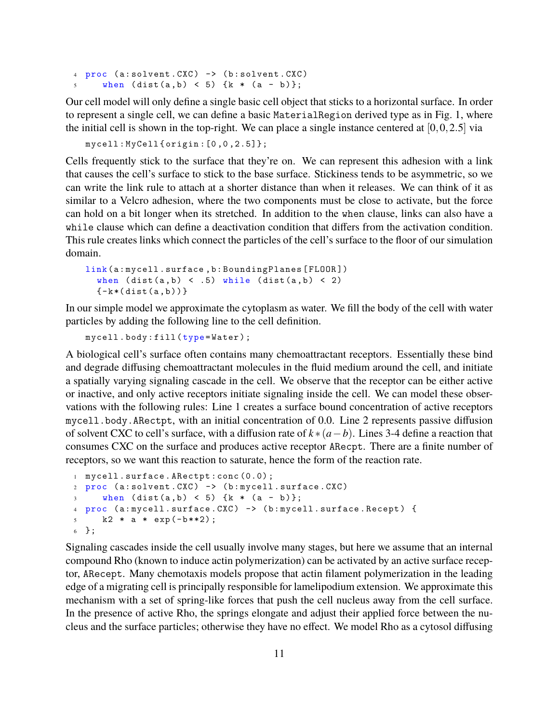```
4 \text{ proc} (a: solvent. CXC) \rightarrow (b: solvent. CXC)
5 when (dist(a, b) < 5) \{k * (a - b)\};
```
Our cell model will only define a single basic cell object that sticks to a horizontal surface. In order to represent a single cell, we can define a basic MaterialRegion derived type as in Fig. [1,](#page-6-0) where the initial cell is shown in the top-right. We can place a single instance centered at  $[0,0,2.5]$  via

```
mycell : MyCell { origin :[0 ,0 ,2.5]};
```
Cells frequently stick to the surface that they're on. We can represent this adhesion with a link that causes the cell's surface to stick to the base surface. Stickiness tends to be asymmetric, so we can write the link rule to attach at a shorter distance than when it releases. We can think of it as similar to a Velcro adhesion, where the two components must be close to activate, but the force can hold on a bit longer when its stretched. In addition to the when clause, links can also have a while clause which can define a deactivation condition that differs from the activation condition. This rule creates links which connect the particles of the cell's surface to the floor of our simulation domain.

```
link (a: mycell . surface, b: Bounding Planes [FLOOR])
  when (dist(a,b) < .5) while (dist(a,b) < 2){-k*(dist(a,b))}
```
In our simple model we approximate the cytoplasm as water. We fill the body of the cell with water particles by adding the following line to the cell definition.

mycell.body:fill (type=Water);

A biological cell's surface often contains many chemoattractant receptors. Essentially these bind and degrade diffusing chemoattractant molecules in the fluid medium around the cell, and initiate a spatially varying signaling cascade in the cell. We observe that the receptor can be either active or inactive, and only active receptors initiate signaling inside the cell. We can model these observations with the following rules: Line 1 creates a surface bound concentration of active receptors mycell.body.ARectpt, with an initial concentration of 0.0. Line 2 represents passive diffusion of solvent CXC to cell's surface, with a diffusion rate of *k* ∗(*a*−*b*). Lines 3-4 define a reaction that consumes CXC on the surface and produces active receptor ARecpt. There are a finite number of receptors, so we want this reaction to saturate, hence the form of the reaction rate.

```
1 mycell . surface . ARectpt : conc (0.0) ;
2 proc (a: solvent. CXC) \rightarrow (b: mycell. surface. CXC)
     when (dist(a,b) < 5) {k * (a - b)};
4 proc (a: mycell . surface .CXC ) -> (b: mycell . surface . Recept ) {
5 k2 * a * exp(-b**2);
6 };
```
Signaling cascades inside the cell usually involve many stages, but here we assume that an internal compound Rho (known to induce actin polymerization) can be activated by an active surface receptor, ARecept. Many chemotaxis models propose that actin filament polymerization in the leading edge of a migrating cell is principally responsible for lamelipodium extension. We approximate this mechanism with a set of spring-like forces that push the cell nucleus away from the cell surface. In the presence of active Rho, the springs elongate and adjust their applied force between the nucleus and the surface particles; otherwise they have no effect. We model Rho as a cytosol diffusing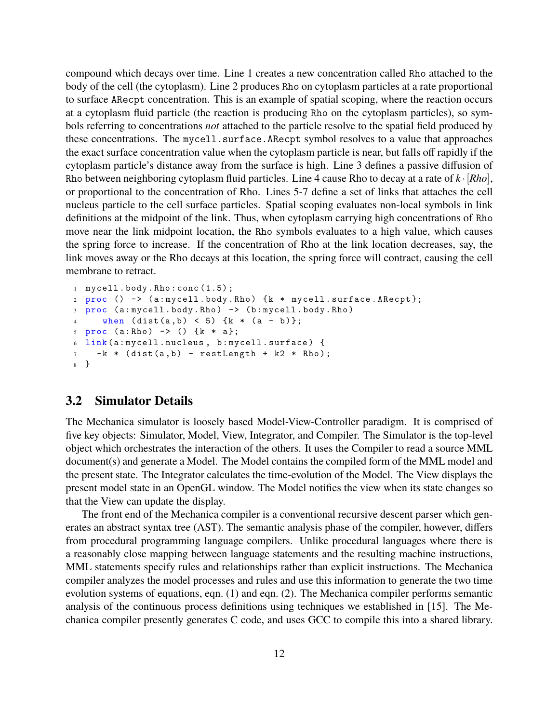compound which decays over time. Line 1 creates a new concentration called Rho attached to the body of the cell (the cytoplasm). Line 2 produces Rho on cytoplasm particles at a rate proportional to surface ARecpt concentration. This is an example of spatial scoping, where the reaction occurs at a cytoplasm fluid particle (the reaction is producing Rho on the cytoplasm particles), so symbols referring to concentrations *not* attached to the particle resolve to the spatial field produced by these concentrations. The mycell.surface.ARecpt symbol resolves to a value that approaches the exact surface concentration value when the cytoplasm particle is near, but falls off rapidly if the cytoplasm particle's distance away from the surface is high. Line 3 defines a passive diffusion of Rho between neighboring cytoplasm fluid particles. Line 4 cause Rho to decay at a rate of *k* ·[*Rho*], or proportional to the concentration of Rho. Lines 5-7 define a set of links that attaches the cell nucleus particle to the cell surface particles. Spatial scoping evaluates non-local symbols in link definitions at the midpoint of the link. Thus, when cytoplasm carrying high concentrations of Rho move near the link midpoint location, the Rho symbols evaluates to a high value, which causes the spring force to increase. If the concentration of Rho at the link location decreases, say, the link moves away or the Rho decays at this location, the spring force will contract, causing the cell membrane to retract.

```
1 mycell . body .Rho : conc (1.5) ;
2 proc () -> (a: mycell . body .Rho ) {k * mycell . surface . ARecpt };
3 proc (a: mycell . body .Rho ) -> (b: mycell . body .Rho )
4 when (dist(a, b) < 5) {k * (a - b)};
5 \text{ proc} (a: Rho) \rightarrow () (k * a);6 link (a: mycell . nucleus , b: mycell . surface ) {
7 -k * (dist(a, b) - restLength + k2 * Rho);8 }
```
#### **3.2 Simulator Details**

The Mechanica simulator is loosely based Model-View-Controller paradigm. It is comprised of five key objects: Simulator, Model, View, Integrator, and Compiler. The Simulator is the top-level object which orchestrates the interaction of the others. It uses the Compiler to read a source MML document(s) and generate a Model. The Model contains the compiled form of the MML model and the present state. The Integrator calculates the time-evolution of the Model. The View displays the present model state in an OpenGL window. The Model notifies the view when its state changes so that the View can update the display.

The front end of the Mechanica compiler is a conventional recursive descent parser which generates an abstract syntax tree (AST). The semantic analysis phase of the compiler, however, differs from procedural programming language compilers. Unlike procedural languages where there is a reasonably close mapping between language statements and the resulting machine instructions, MML statements specify rules and relationships rather than explicit instructions. The Mechanica compiler analyzes the model processes and rules and use this information to generate the two time evolution systems of equations, eqn. [\(1\)](#page-8-0) and eqn. [\(2\)](#page-9-0). The Mechanica compiler performs semantic analysis of the continuous process definitions using techniques we established in [\[15\]](#page-14-3). The Mechanica compiler presently generates C code, and uses GCC to compile this into a shared library.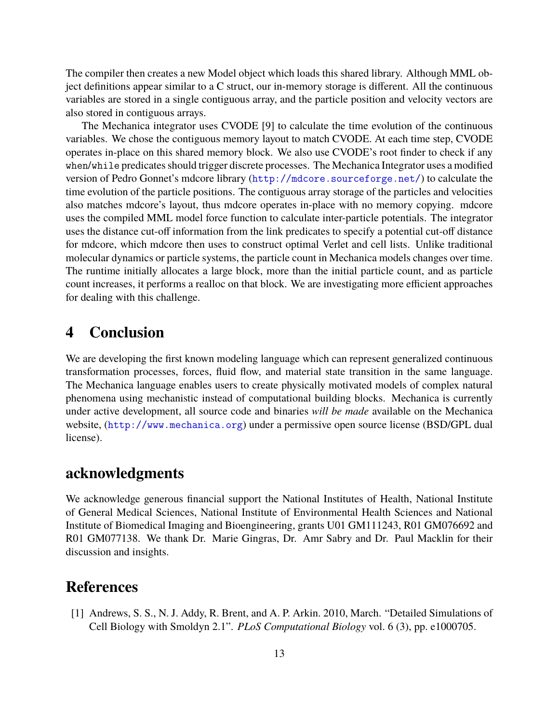The compiler then creates a new Model object which loads this shared library. Although MML object definitions appear similar to a C struct, our in-memory storage is different. All the continuous variables are stored in a single contiguous array, and the particle position and velocity vectors are also stored in contiguous arrays.

The Mechanica integrator uses CVODE [\[9\]](#page-13-11) to calculate the time evolution of the continuous variables. We chose the contiguous memory layout to match CVODE. At each time step, CVODE operates in-place on this shared memory block. We also use CVODE's root finder to check if any when/while predicates should trigger discrete processes. The Mechanica Integrator uses a modified version of Pedro Gonnet's mdcore library (<http://mdcore.sourceforge.net/>) to calculate the time evolution of the particle positions. The contiguous array storage of the particles and velocities also matches mdcore's layout, thus mdcore operates in-place with no memory copying. mdcore uses the compiled MML model force function to calculate inter-particle potentials. The integrator uses the distance cut-off information from the link predicates to specify a potential cut-off distance for mdcore, which mdcore then uses to construct optimal Verlet and cell lists. Unlike traditional molecular dynamics or particle systems, the particle count in Mechanica models changes over time. The runtime initially allocates a large block, more than the initial particle count, and as particle count increases, it performs a realloc on that block. We are investigating more efficient approaches for dealing with this challenge.

# **4 Conclusion**

We are developing the first known modeling language which can represent generalized continuous transformation processes, forces, fluid flow, and material state transition in the same language. The Mechanica language enables users to create physically motivated models of complex natural phenomena using mechanistic instead of computational building blocks. Mechanica is currently under active development, all source code and binaries *will be made* available on the Mechanica website, (<http://www.mechanica.org>) under a permissive open source license (BSD/GPL dual license).

## **acknowledgments**

We acknowledge generous financial support the National Institutes of Health, National Institute of General Medical Sciences, National Institute of Environmental Health Sciences and National Institute of Biomedical Imaging and Bioengineering, grants U01 GM111243, R01 GM076692 and R01 GM077138. We thank Dr. Marie Gingras, Dr. Amr Sabry and Dr. Paul Macklin for their discussion and insights.

### **References**

<span id="page-12-0"></span>[1] Andrews, S. S., N. J. Addy, R. Brent, and A. P. Arkin. 2010, March. "Detailed Simulations of Cell Biology with Smoldyn 2.1". *PLoS Computational Biology* vol. 6 (3), pp. e1000705.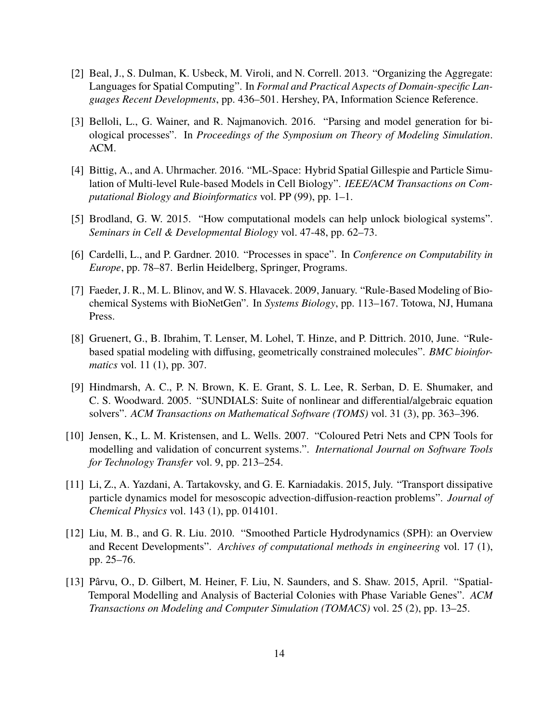- <span id="page-13-1"></span>[2] Beal, J., S. Dulman, K. Usbeck, M. Viroli, and N. Correll. 2013. "Organizing the Aggregate: Languages for Spatial Computing". In *Formal and Practical Aspects of Domain-specific Languages Recent Developments*, pp. 436–501. Hershey, PA, Information Science Reference.
- <span id="page-13-2"></span>[3] Belloli, L., G. Wainer, and R. Najmanovich. 2016. "Parsing and model generation for biological processes". In *Proceedings of the Symposium on Theory of Modeling Simulation*. ACM.
- <span id="page-13-7"></span>[4] Bittig, A., and A. Uhrmacher. 2016. "ML-Space: Hybrid Spatial Gillespie and Particle Simulation of Multi-level Rule-based Models in Cell Biology". *IEEE/ACM Transactions on Computational Biology and Bioinformatics* vol. PP (99), pp. 1–1.
- <span id="page-13-0"></span>[5] Brodland, G. W. 2015. "How computational models can help unlock biological systems". *Seminars in Cell & Developmental Biology* vol. 47-48, pp. 62–73.
- <span id="page-13-5"></span>[6] Cardelli, L., and P. Gardner. 2010. "Processes in space". In *Conference on Computability in Europe*, pp. 78–87. Berlin Heidelberg, Springer, Programs.
- <span id="page-13-8"></span>[7] Faeder, J. R., M. L. Blinov, and W. S. Hlavacek. 2009, January. "Rule-Based Modeling of Biochemical Systems with BioNetGen". In *Systems Biology*, pp. 113–167. Totowa, NJ, Humana Press.
- <span id="page-13-6"></span>[8] Gruenert, G., B. Ibrahim, T. Lenser, M. Lohel, T. Hinze, and P. Dittrich. 2010, June. "Rulebased spatial modeling with diffusing, geometrically constrained molecules". *BMC bioinformatics* vol. 11 (1), pp. 307.
- <span id="page-13-11"></span>[9] Hindmarsh, A. C., P. N. Brown, K. E. Grant, S. L. Lee, R. Serban, D. E. Shumaker, and C. S. Woodward. 2005. "SUNDIALS: Suite of nonlinear and differential/algebraic equation solvers". *ACM Transactions on Mathematical Software (TOMS)* vol. 31 (3), pp. 363–396.
- <span id="page-13-3"></span>[10] Jensen, K., L. M. Kristensen, and L. Wells. 2007. "Coloured Petri Nets and CPN Tools for modelling and validation of concurrent systems.". *International Journal on Software Tools for Technology Transfer* vol. 9, pp. 213–254.
- <span id="page-13-9"></span>[11] Li, Z., A. Yazdani, A. Tartakovsky, and G. E. Karniadakis. 2015, July. "Transport dissipative particle dynamics model for mesoscopic advection-diffusion-reaction problems". *Journal of Chemical Physics* vol. 143 (1), pp. 014101.
- <span id="page-13-10"></span>[12] Liu, M. B., and G. R. Liu. 2010. "Smoothed Particle Hydrodynamics (SPH): an Overview and Recent Developments". *Archives of computational methods in engineering* vol. 17 (1), pp. 25–76.
- <span id="page-13-4"></span>[13] Pârvu, O., D. Gilbert, M. Heiner, F. Liu, N. Saunders, and S. Shaw. 2015, April. "Spatial-Temporal Modelling and Analysis of Bacterial Colonies with Phase Variable Genes". *ACM Transactions on Modeling and Computer Simulation (TOMACS)* vol. 25 (2), pp. 13–25.